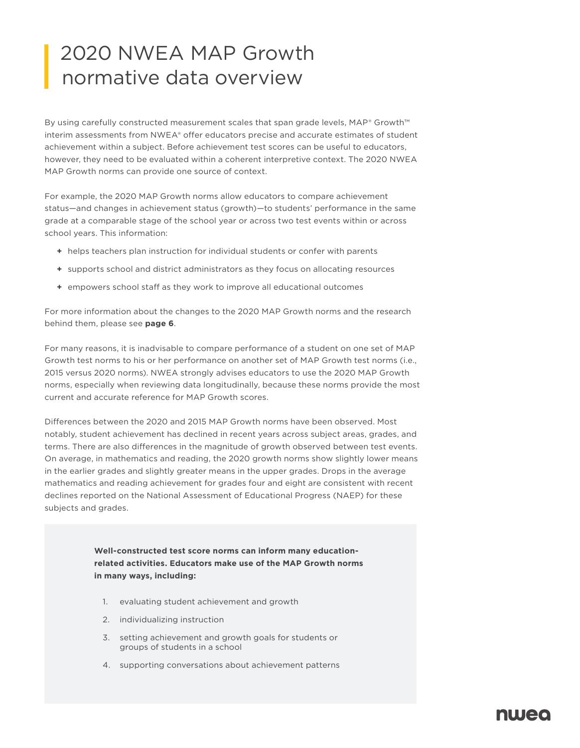## 2020 NWEA MAP Growth normative data overview

By using carefully constructed measurement scales that span grade levels, MAP® Growth™ interim assessments from NWEA® offer educators precise and accurate estimates of student achievement within a subject. Before achievement test scores can be useful to educators, however, they need to be evaluated within a coherent interpretive context. The 2020 NWEA MAP Growth norms can provide one source of context.

For example, the 2020 MAP Growth norms allow educators to compare achievement status—and changes in achievement status (growth)—to students' performance in the same grade at a comparable stage of the school year or across two test events within or across school years. This information:

- **+** helps teachers plan instruction for individual students or confer with parents
- **+** supports school and district administrators as they focus on allocating resources
- **+** empowers school staff as they work to improve all educational outcomes

For more information about the changes to the 2020 MAP Growth norms and the research behind them, please see **page 6**.

For many reasons, it is inadvisable to compare performance of a student on one set of MAP Growth test norms to his or her performance on another set of MAP Growth test norms (i.e., 2015 versus 2020 norms). NWEA strongly advises educators to use the 2020 MAP Growth norms, especially when reviewing data longitudinally, because these norms provide the most current and accurate reference for MAP Growth scores.

Differences between the 2020 and 2015 MAP Growth norms have been observed. Most notably, student achievement has declined in recent years across subject areas, grades, and terms. There are also differences in the magnitude of growth observed between test events. On average, in mathematics and reading, the 2020 growth norms show slightly lower means in the earlier grades and slightly greater means in the upper grades. Drops in the average mathematics and reading achievement for grades four and eight are consistent with recent declines reported on the National Assessment of Educational Progress (NAEP) for these subjects and grades.

> **Well-constructed test score norms can inform many educationrelated activities. Educators make use of the MAP Growth norms in many ways, including:**

- 1. evaluating student achievement and growth
- 2. individualizing instruction
- 3. setting achievement and growth goals for students or groups of students in a school
- 4. supporting conversations about achievement patterns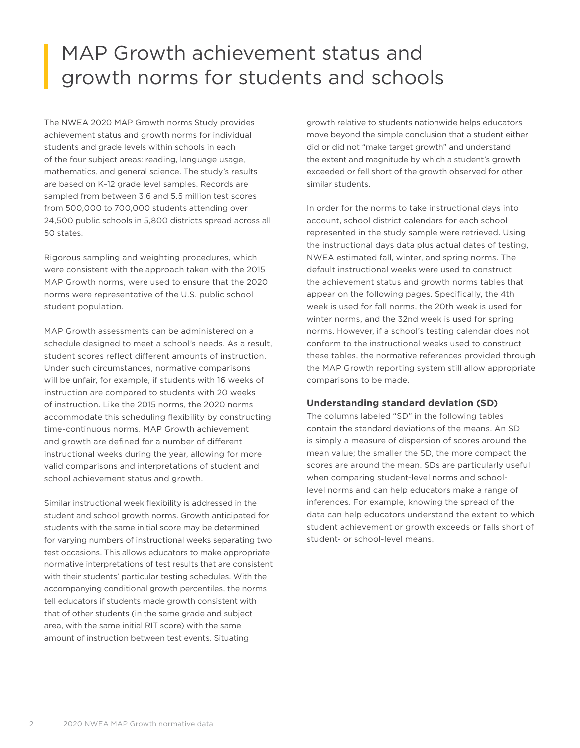### MAP Growth achievement status and growth norms for students and schools

The NWEA 2020 MAP Growth norms Study provides achievement status and growth norms for individual students and grade levels within schools in each of the four subject areas: reading, language usage, mathematics, and general science. The study's results are based on K–12 grade level samples. Records are sampled from between 3.6 and 5.5 million test scores from 500,000 to 700,000 students attending over 24,500 public schools in 5,800 districts spread across all 50 states.

Rigorous sampling and weighting procedures, which were consistent with the approach taken with the 2015 MAP Growth norms, were used to ensure that the 2020 norms were representative of the U.S. public school student population.

MAP Growth assessments can be administered on a schedule designed to meet a school's needs. As a result, student scores reflect different amounts of instruction. Under such circumstances, normative comparisons will be unfair, for example, if students with 16 weeks of instruction are compared to students with 20 weeks of instruction. Like the 2015 norms, the 2020 norms accommodate this scheduling flexibility by constructing time-continuous norms. MAP Growth achievement and growth are defined for a number of different instructional weeks during the year, allowing for more valid comparisons and interpretations of student and school achievement status and growth.

Similar instructional week flexibility is addressed in the student and school growth norms. Growth anticipated for students with the same initial score may be determined for varying numbers of instructional weeks separating two test occasions. This allows educators to make appropriate normative interpretations of test results that are consistent with their students' particular testing schedules. With the accompanying conditional growth percentiles, the norms tell educators if students made growth consistent with that of other students (in the same grade and subject area, with the same initial RIT score) with the same amount of instruction between test events. Situating

growth relative to students nationwide helps educators move beyond the simple conclusion that a student either did or did not "make target growth" and understand the extent and magnitude by which a student's growth exceeded or fell short of the growth observed for other similar students.

In order for the norms to take instructional days into account, school district calendars for each school represented in the study sample were retrieved. Using the instructional days data plus actual dates of testing, NWEA estimated fall, winter, and spring norms. The default instructional weeks were used to construct the achievement status and growth norms tables that appear on the following pages. Specifically, the 4th week is used for fall norms, the 20th week is used for winter norms, and the 32nd week is used for spring norms. However, if a school's testing calendar does not conform to the instructional weeks used to construct these tables, the normative references provided through the MAP Growth reporting system still allow appropriate comparisons to be made.

#### **Understanding standard deviation (SD)**

The columns labeled "SD" in the following tables contain the standard deviations of the means. An SD is simply a measure of dispersion of scores around the mean value; the smaller the SD, the more compact the scores are around the mean. SDs are particularly useful when comparing student-level norms and schoollevel norms and can help educators make a range of inferences. For example, knowing the spread of the data can help educators understand the extent to which student achievement or growth exceeds or falls short of student- or school-level means.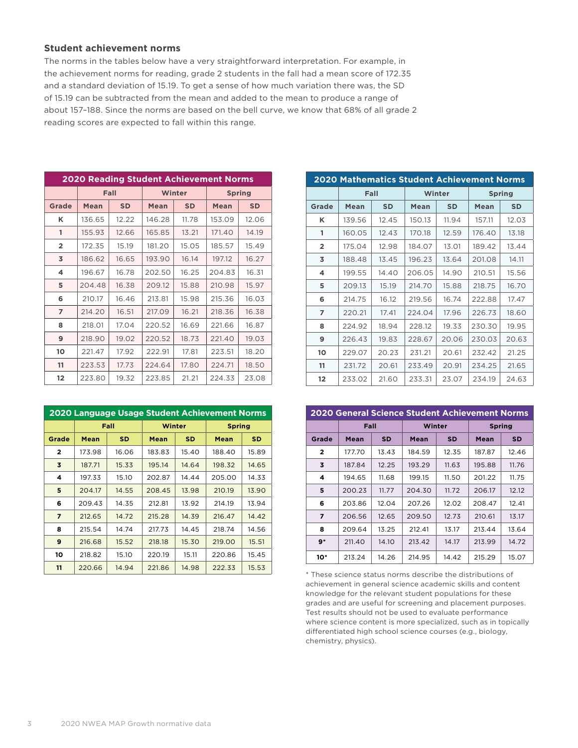#### **Student achievement norms**

The norms in the tables below have a very straightforward interpretation. For example, in the achievement norms for reading, grade 2 students in the fall had a mean score of 172.35 and a standard deviation of 15.19. To get a sense of how much variation there was, the SD of 15.19 can be subtracted from the mean and added to the mean to produce a range of about 157–188. Since the norms are based on the bell curve, we know that 68% of all grade 2 reading scores are expected to fall within this range.

| <b>2020 Reading Student Achievement Norms</b> |             |           |             |           |             |               |  |  |
|-----------------------------------------------|-------------|-----------|-------------|-----------|-------------|---------------|--|--|
|                                               |             | Fall      |             | Winter    |             | <b>Spring</b> |  |  |
| Grade                                         | <b>Mean</b> | <b>SD</b> | <b>Mean</b> | <b>SD</b> | <b>Mean</b> | <b>SD</b>     |  |  |
| κ                                             | 136.65      | 12.22     | 146.28      | 11.78     | 153.09      | 12.06         |  |  |
| 1                                             | 155.93      | 12.66     | 165.85      | 13.21     | 171.40      | 14.19         |  |  |
| $\overline{2}$                                | 172.35      | 15.19     | 181.20      | 15.05     | 185.57      | 15.49         |  |  |
| 3                                             | 186.62      | 16.65     | 193.90      | 16.14     | 197.12      | 16.27         |  |  |
| 4                                             | 196.67      | 16.78     | 202.50      | 16.25     | 204.83      | 16.31         |  |  |
| 5                                             | 204.48      | 16.38     | 209.12      | 15.88     | 210.98      | 15.97         |  |  |
| 6                                             | 210.17      | 16.46     | 213.81      | 15.98     | 215.36      | 16.03         |  |  |
| $\overline{ }$                                | 214.20      | 16.51     | 217.09      | 16.21     | 218.36      | 16.38         |  |  |
| 8                                             | 218.01      | 17.04     | 220.52      | 16.69     | 221.66      | 16.87         |  |  |
| 9                                             | 218.90      | 19.02     | 220.52      | 18.73     | 221.40      | 19.03         |  |  |
| 10                                            | 221.47      | 17.92     | 222.91      | 17.81     | 223.51      | 18.20         |  |  |
| 11                                            | 223.53      | 17.73     | 224.64      | 17.80     | 224.71      | 18.50         |  |  |
| 12                                            | 223.80      | 19.32     | 223.85      | 21.21     | 224.33      | 23.08         |  |  |

| 2020 Language Usage Student Achievement Norms |             |           |             |       |               |       |  |  |
|-----------------------------------------------|-------------|-----------|-------------|-------|---------------|-------|--|--|
|                                               |             | Fall      | Winter      |       | <b>Spring</b> |       |  |  |
| Grade                                         | <b>Mean</b> | <b>SD</b> | <b>Mean</b> | SD    | Mean          | SD    |  |  |
| $\mathbf{2}$                                  | 173.98      | 16.06     | 183.83      | 15.40 | 188.40        | 15.89 |  |  |
| 3                                             | 187.71      | 15.33     | 195.14      | 14.64 | 198.32        | 14.65 |  |  |
| 4                                             | 197.33      | 15.10     | 202.87      | 14.44 | 205.00        | 14.33 |  |  |
| 5                                             | 204.17      | 14.55     | 208.45      | 13.98 | 210.19        | 13.90 |  |  |
| 6                                             | 209.43      | 14.35     | 212.81      | 13.92 | 214.19        | 13.94 |  |  |
| $\overline{ }$                                | 212.65      | 14.72     | 215.28      | 14.39 | 216.47        | 14.42 |  |  |
| 8                                             | 215.54      | 14.74     | 217.73      | 14.45 | 218.74        | 14.56 |  |  |
| 9                                             | 216.68      | 15.52     | 218.18      | 15.30 | 219.00        | 15.51 |  |  |
| 10                                            | 218.82      | 15.10     | 220.19      | 15.11 | 220.86        | 15.45 |  |  |
| 11                                            | 220.66      | 14.94     | 221.86      | 14.98 | 222.33        | 15.53 |  |  |

| <b>2020 Mathematics Student Achievement Norms</b> |        |           |        |           |        |               |  |  |
|---------------------------------------------------|--------|-----------|--------|-----------|--------|---------------|--|--|
|                                                   | Fall   |           |        | Winter    |        | <b>Spring</b> |  |  |
| Grade                                             | Mean   | <b>SD</b> | Mean   | <b>SD</b> | Mean   | <b>SD</b>     |  |  |
| κ                                                 | 139.56 | 12.45     | 150.13 | 11.94     | 157.11 | 12.03         |  |  |
| 1                                                 | 160.05 | 12.43     | 170.18 | 12.59     | 176.40 | 13.18         |  |  |
| $\overline{2}$                                    | 175.04 | 12.98     | 184.07 | 13.01     | 189.42 | 13.44         |  |  |
| 3                                                 | 188.48 | 13.45     | 196.23 | 13.64     | 201.08 | 14.11         |  |  |
| 4                                                 | 199.55 | 14.40     | 206.05 | 14.90     | 210.51 | 15.56         |  |  |
| 5                                                 | 209.13 | 15.19     | 214.70 | 15.88     | 218.75 | 16.70         |  |  |
| 6                                                 | 214.75 | 16.12     | 219.56 | 16.74     | 222.88 | 17.47         |  |  |
| 7                                                 | 220.21 | 17.41     | 224.04 | 17.96     | 226.73 | 18.60         |  |  |
| 8                                                 | 224.92 | 18.94     | 228.12 | 19.33     | 230.30 | 19.95         |  |  |
| 9                                                 | 226.43 | 19.83     | 228.67 | 20.06     | 230.03 | 20.63         |  |  |
| 10                                                | 229.07 | 20.23     | 231.21 | 20.61     | 232.42 | 21.25         |  |  |
| 11                                                | 231.72 | 20.61     | 233.49 | 20.91     | 234.25 | 21.65         |  |  |
| $12 \overline{ }$                                 | 233.02 | 21.60     | 233.31 | 23.07     | 234.19 | 24.63         |  |  |

| <b>2020 General Science Student Achievement Norms</b> |        |           |        |           |               |           |  |  |
|-------------------------------------------------------|--------|-----------|--------|-----------|---------------|-----------|--|--|
|                                                       | Fall   |           | Winter |           | <b>Spring</b> |           |  |  |
| Grade                                                 | Mean   | <b>SD</b> | Mean   | <b>SD</b> | Mean          | <b>SD</b> |  |  |
| $\mathbf{2}$                                          | 177.70 | 13.43     | 184.59 | 12.35     | 187.87        | 12.46     |  |  |
| 3                                                     | 187.84 | 12.25     | 193.29 | 11.63     | 195.88        | 11.76     |  |  |
| 4                                                     | 194.65 | 11.68     | 199.15 | 11.50     | 201.22        | 11.75     |  |  |
| 5                                                     | 200.23 | 11.77     | 204.30 | 11.72     | 206.17        | 12.12     |  |  |
| 6                                                     | 203.86 | 12.04     | 207.26 | 12.02     | 208.47        | 12.41     |  |  |
| 7                                                     | 206.56 | 12.65     | 209.50 | 12.73     | 210.61        | 13.17     |  |  |
| 8                                                     | 209.64 | 13.25     | 212.41 | 13.17     | 213.44        | 13.64     |  |  |
| $9*$                                                  | 211.40 | 14.10     | 213.42 | 14.17     | 213.99        | 14.72     |  |  |
| 10*                                                   | 213.24 | 14.26     | 214.95 | 14.42     | 215.29        | 15.07     |  |  |

\* These science status norms describe the distributions of achievement in general science academic skills and content knowledge for the relevant student populations for these grades and are useful for screening and placement purposes. Test results should not be used to evaluate performance where science content is more specialized, such as in topically differentiated high school science courses (e.g., biology, chemistry, physics).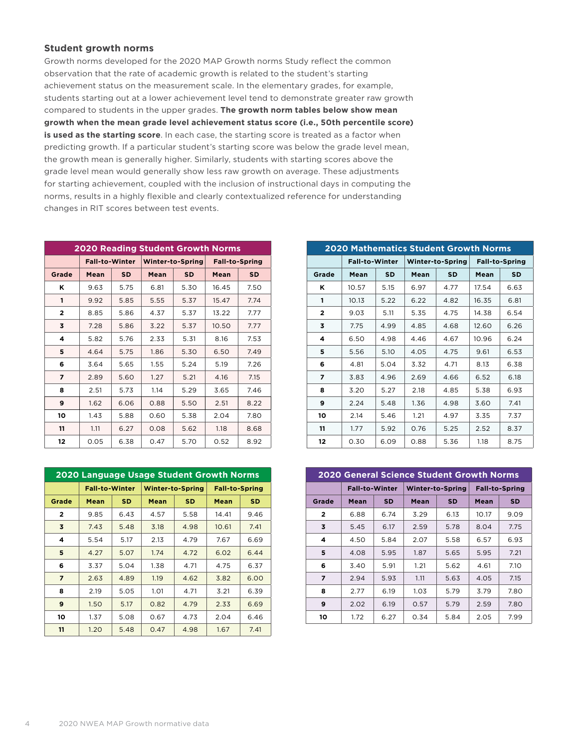#### **Student growth norms**

Growth norms developed for the 2020 MAP Growth norms Study reflect the common observation that the rate of academic growth is related to the student's starting achievement status on the measurement scale. In the elementary grades, for example, students starting out at a lower achievement level tend to demonstrate greater raw growth compared to students in the upper grades. **The growth norm tables below show mean growth when the mean grade level achievement status score (i.e., 50th percentile score) is used as the starting score**. In each case, the starting score is treated as a factor when predicting growth. If a particular student's starting score was below the grade level mean, the growth mean is generally higher. Similarly, students with starting scores above the grade level mean would generally show less raw growth on average. These adjustments for starting achievement, coupled with the inclusion of instructional days in computing the norms, results in a highly flexible and clearly contextualized reference for understanding changes in RIT scores between test events.

| <b>2020 Reading Student Growth Norms</b> |                       |           |      |                         |       |                       |  |  |
|------------------------------------------|-----------------------|-----------|------|-------------------------|-------|-----------------------|--|--|
|                                          | <b>Fall-to-Winter</b> |           |      | <b>Winter-to-Spring</b> |       | <b>Fall-to-Spring</b> |  |  |
| Grade                                    | Mean                  | <b>SD</b> | Mean | <b>SD</b>               | Mean  | <b>SD</b>             |  |  |
| Κ                                        | 9.63                  | 5.75      | 6.81 | 5.30                    | 16.45 | 7.50                  |  |  |
| 1                                        | 9.92                  | 5.85      | 5.55 | 5.37                    | 15.47 | 7.74                  |  |  |
| $\overline{2}$                           | 8.85                  | 5.86      | 4.37 | 5.37                    | 13.22 | 7.77                  |  |  |
| 3                                        | 7.28                  | 5.86      | 3.22 | 5.37                    | 10.50 | 7.77                  |  |  |
| 4                                        | 5.82                  | 5.76      | 2.33 | 5.31                    | 8.16  | 7.53                  |  |  |
| 5                                        | 4.64                  | 5.75      | 1.86 | 5.30                    | 6.50  | 7.49                  |  |  |
| 6                                        | 3.64                  | 5.65      | 1.55 | 5.24                    | 5.19  | 7.26                  |  |  |
| 7                                        | 2.89                  | 5.60      | 1.27 | 5.21                    | 4.16  | 7.15                  |  |  |
| 8                                        | 2.51                  | 5.73      | 1.14 | 5.29                    | 3.65  | 7.46                  |  |  |
| 9                                        | 1.62                  | 6.06      | 0.88 | 5.50                    | 2.51  | 8.22                  |  |  |
| 10                                       | 1.43                  | 5.88      | 0.60 | 5.38                    | 2.04  | 7.80                  |  |  |
| 11                                       | 1.11                  | 6.27      | 0.08 | 5.62                    | 1.18  | 8.68                  |  |  |
| 12                                       | 0.05                  | 6.38      | 0.47 | 5.70                    | 0.52  | 8.92                  |  |  |

| 2020 Language Usage Student Growth Norms |                       |           |      |                         |                       |           |  |  |
|------------------------------------------|-----------------------|-----------|------|-------------------------|-----------------------|-----------|--|--|
|                                          | <b>Fall-to-Winter</b> |           |      | <b>Winter-to-Spring</b> | <b>Fall-to-Spring</b> |           |  |  |
| Grade                                    | Mean                  | <b>SD</b> | Mean | <b>SD</b>               | Mean                  | <b>SD</b> |  |  |
| $\overline{2}$                           | 9.85                  | 6.43      | 4.57 | 5.58                    | 14.41                 | 9.46      |  |  |
| 3                                        | 7.43                  | 5.48      | 3.18 | 4.98                    | 10.61                 | 7.41      |  |  |
| 4                                        | 5.54                  | 5.17      | 2.13 | 4.79                    | 7.67                  | 6.69      |  |  |
| 5                                        | 4.27                  | 5.07      | 1.74 | 4.72                    | 6.02                  | 6.44      |  |  |
| 6                                        | 3.37                  | 5.04      | 1.38 | 4.71                    | 4.75                  | 6.37      |  |  |
| $\overline{7}$                           | 2.63                  | 4.89      | 1.19 | 4.62                    | 3.82                  | 6.00      |  |  |
| 8                                        | 2.19                  | 5.05      | 1.01 | 4.71                    | 3.21                  | 6.39      |  |  |
| 9                                        | 1.50                  | 5.17      | 0.82 | 4.79                    | 2.33                  | 6.69      |  |  |
| 10                                       | 1.37                  | 5.08      | 0.67 | 4.73                    | 2.04                  | 6.46      |  |  |
| 11                                       | 1.20                  | 5.48      | 0.47 | 4.98                    | 1.67                  | 7.41      |  |  |

| <b>2020 Mathematics Student Growth Norms</b> |                       |      |      |                         |                       |           |  |  |
|----------------------------------------------|-----------------------|------|------|-------------------------|-----------------------|-----------|--|--|
|                                              | <b>Fall-to-Winter</b> |      |      | <b>Winter-to-Spring</b> | <b>Fall-to-Spring</b> |           |  |  |
| Grade                                        | Mean                  | SD   | Mean | <b>SD</b>               | Mean                  | <b>SD</b> |  |  |
| κ                                            | 10.57                 | 5.15 | 6.97 | 4.77                    | 17.54                 | 6.63      |  |  |
| 1                                            | 10.13                 | 5.22 | 6.22 | 4.82                    | 16.35                 | 6.81      |  |  |
| $\overline{2}$                               | 9.03                  | 5.11 | 5.35 | 4.75                    | 14.38                 | 6.54      |  |  |
| 3                                            | 7.75                  | 4.99 | 4.85 | 4.68                    | 12.60                 | 6.26      |  |  |
| 4                                            | 6.50                  | 4.98 | 4.46 | 4.67                    | 10.96                 | 6.24      |  |  |
| 5                                            | 5.56                  | 5.10 | 4.05 | 4.75                    | 9.61                  | 6.53      |  |  |
| 6                                            | 4.81                  | 5.04 | 3.32 | 4.71                    | 8.13                  | 6.38      |  |  |
| 7                                            | 3.83                  | 4.96 | 2.69 | 4.66                    | 6.52                  | 6.18      |  |  |
| 8                                            | 3.20                  | 5.27 | 2.18 | 4.85                    | 5.38                  | 6.93      |  |  |
| 9                                            | 2.24                  | 5.48 | 1.36 | 4.98                    | 3.60                  | 7.41      |  |  |
| 10                                           | 2.14                  | 5.46 | 1.21 | 4.97                    | 3.35                  | 7.37      |  |  |
| 11                                           | 1.77                  | 5.92 | 0.76 | 5.25                    | 2.52                  | 8.37      |  |  |
| 12                                           | 0.30                  | 6.09 | 0.88 | 5.36                    | 1.18                  | 8.75      |  |  |

| <b>2020 General Science Student Growth Norms</b> |                       |           |      |                         |       |                       |  |  |
|--------------------------------------------------|-----------------------|-----------|------|-------------------------|-------|-----------------------|--|--|
|                                                  | <b>Fall-to-Winter</b> |           |      | <b>Winter-to-Spring</b> |       | <b>Fall-to-Spring</b> |  |  |
| Grade                                            | Mean                  | <b>SD</b> | Mean | <b>SD</b>               | Mean  | <b>SD</b>             |  |  |
| $\overline{2}$                                   | 6.88                  | 6.74      | 3.29 | 6.13                    | 10.17 | 9.09                  |  |  |
| 3                                                | 5.45                  | 6.17      | 2.59 | 5.78                    | 8.04  | 7.75                  |  |  |
| 4                                                | 4.50                  | 5.84      | 2.07 | 5.58                    | 6.57  | 6.93                  |  |  |
| 5                                                | 4.08                  | 5.95      | 1.87 | 5.65                    | 5.95  | 7.21                  |  |  |
| 6                                                | 3.40                  | 5.91      | 1.21 | 5.62                    | 4.61  | 7.10                  |  |  |
| 7                                                | 2.94                  | 5.93      | 1.11 | 5.63                    | 4.05  | 7.15                  |  |  |
| 8                                                | 2.77                  | 6.19      | 1.03 | 5.79                    | 3.79  | 7.80                  |  |  |
| 9                                                | 2.02                  | 6.19      | 0.57 | 5.79                    | 2.59  | 7.80                  |  |  |
| 10                                               | 1.72                  | 6.27      | 0.34 | 5.84                    | 2.05  | 7.99                  |  |  |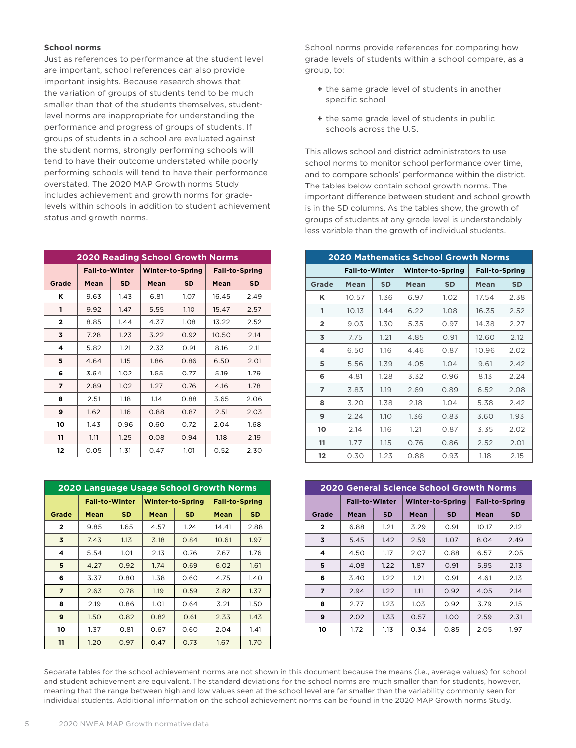#### **School norms**

Just as references to performance at the student level are important, school references can also provide important insights. Because research shows that the variation of groups of students tend to be much smaller than that of the students themselves, studentlevel norms are inappropriate for understanding the performance and progress of groups of students. If groups of students in a school are evaluated against the student norms, strongly performing schools will tend to have their outcome understated while poorly performing schools will tend to have their performance overstated. The 2020 MAP Growth norms Study includes achievement and growth norms for gradelevels within schools in addition to student achievement status and growth norms.

| <b>2020 Reading School Growth Norms</b> |                       |           |      |                         |       |                       |  |  |
|-----------------------------------------|-----------------------|-----------|------|-------------------------|-------|-----------------------|--|--|
|                                         | <b>Fall-to-Winter</b> |           |      | <b>Winter-to-Spring</b> |       | <b>Fall-to-Spring</b> |  |  |
| Grade                                   | Mean                  | <b>SD</b> | Mean | <b>SD</b>               | Mean  | <b>SD</b>             |  |  |
| Κ                                       | 9.63                  | 1.43      | 6.81 | 1.07                    | 16.45 | 2.49                  |  |  |
| 1                                       | 9.92                  | 1.47      | 5.55 | 1.10                    | 15.47 | 2.57                  |  |  |
| $\overline{2}$                          | 8.85                  | 1.44      | 4.37 | 1.08                    | 13.22 | 2.52                  |  |  |
| 3                                       | 7.28                  | 1.23      | 3.22 | 0.92                    | 10.50 | 2.14                  |  |  |
| 4                                       | 5.82                  | 1.21      | 2.33 | 0.91                    | 8.16  | 2.11                  |  |  |
| 5                                       | 4.64                  | 1.15      | 1.86 | 0.86                    | 6.50  | 2.01                  |  |  |
| 6                                       | 3.64                  | 1.02      | 1.55 | 0.77                    | 5.19  | 1.79                  |  |  |
| 7                                       | 2.89                  | 1.02      | 1.27 | 0.76                    | 4.16  | 1.78                  |  |  |
| 8                                       | 2.51                  | 1.18      | 1.14 | 0.88                    | 3.65  | 2.06                  |  |  |
| 9                                       | 1.62                  | 1.16      | 0.88 | 0.87                    | 2.51  | 2.03                  |  |  |
| 10                                      | 1.43                  | 0.96      | 0.60 | 0.72                    | 2.04  | 1.68                  |  |  |
| 11                                      | 1.11                  | 1.25      | 0.08 | 0.94                    | 1.18  | 2.19                  |  |  |
| 12                                      | 0.05                  | 1.31      | 0.47 | 1.01                    | 0.52  | 2.30                  |  |  |

| 2020 Language Usage School Growth Norms |                       |           |             |                         |                       |           |  |  |
|-----------------------------------------|-----------------------|-----------|-------------|-------------------------|-----------------------|-----------|--|--|
|                                         | <b>Fall-to-Winter</b> |           |             | <b>Winter-to-Spring</b> | <b>Fall-to-Spring</b> |           |  |  |
| Grade                                   | Mean                  | <b>SD</b> | <b>Mean</b> | SD                      | Mean                  | <b>SD</b> |  |  |
| $\overline{2}$                          | 9.85                  | 1.65      | 4.57        | 1.24                    | 14.41                 | 2.88      |  |  |
| 3                                       | 7.43                  | 1.13      | 3.18        | 0.84                    | 10.61                 | 1.97      |  |  |
| 4                                       | 5.54                  | 1.01      | 2.13        | 0.76                    | 7.67                  | 1.76      |  |  |
| 5                                       | 4.27                  | 0.92      | 1.74        | 0.69                    | 6.02                  | 1.61      |  |  |
| 6                                       | 3.37                  | 0.80      | 1.38        | 0.60                    | 4.75                  | 1.40      |  |  |
| $\overline{ }$                          | 2.63                  | 0.78      | 1.19        | 0.59                    | 3.82                  | 1.37      |  |  |
| 8                                       | 2.19                  | 0.86      | 1.01        | 0.64                    | 3.21                  | 1.50      |  |  |
| 9                                       | 1.50                  | 0.82      | 0.82        | 0.61                    | 2.33                  | 1.43      |  |  |
| 10                                      | 1.37                  | 0.81      | 0.67        | 0.60                    | 2.04                  | 1.41      |  |  |
| 11                                      | 1.20                  | 0.97      | 0.47        | 0.73                    | 1.67                  | 1.70      |  |  |

School norms provide references for comparing how grade levels of students within a school compare, as a group, to:

- **+** the same grade level of students in another specific school
- **+** the same grade level of students in public schools across the U.S.

This allows school and district administrators to use school norms to monitor school performance over time, and to compare schools' performance within the district. The tables below contain school growth norms. The important difference between student and school growth is in the SD columns. As the tables show, the growth of groups of students at any grade level is understandably less variable than the growth of individual students.

| <b>2020 Mathematics School Growth Norms</b> |                       |           |      |                         |             |                       |  |  |  |
|---------------------------------------------|-----------------------|-----------|------|-------------------------|-------------|-----------------------|--|--|--|
|                                             | <b>Fall-to-Winter</b> |           |      | <b>Winter-to-Spring</b> |             | <b>Fall-to-Spring</b> |  |  |  |
| <b>Grade</b>                                | Mean                  | <b>SD</b> | Mean | <b>SD</b>               | <b>Mean</b> | <b>SD</b>             |  |  |  |
| κ                                           | 10.57                 | 1.36      | 6.97 | 1.02                    | 17.54       | 2.38                  |  |  |  |
| 1                                           | 10.13                 | 1.44      | 6.22 | 1.08                    | 16.35       | 2.52                  |  |  |  |
| $\overline{2}$                              | 9.03                  | 1.30      | 5.35 | 0.97                    | 14.38       | 2.27                  |  |  |  |
| 3                                           | 7.75                  | 1.21      | 4.85 | 0.91                    | 12.60       | 2.12                  |  |  |  |
| 4                                           | 6.50                  | 1.16      | 4.46 | 0.87                    | 10.96       | 2.02                  |  |  |  |
| 5                                           | 5.56                  | 1.39      | 4.05 | 1.04                    | 9.61        | 2.42                  |  |  |  |
| 6                                           | 4.81                  | 1.28      | 3.32 | 0.96                    | 8.13        | 2.24                  |  |  |  |
| $\overline{ }$                              | 3.83                  | 1.19      | 2.69 | 0.89                    | 6.52        | 2.08                  |  |  |  |
| 8                                           | 3.20                  | 1.38      | 2.18 | 1.04                    | 5.38        | 2.42                  |  |  |  |
| 9                                           | 2.24                  | 1.10      | 1.36 | 0.83                    | 3.60        | 1.93                  |  |  |  |
| 10                                          | 2.14                  | 1.16      | 1.21 | 0.87                    | 3.35        | 2.02                  |  |  |  |
| 11                                          | 1.77                  | 1.15      | 0.76 | 0.86                    | 2.52        | 2.01                  |  |  |  |
| 12                                          | 0.30                  | 1.23      | 0.88 | 0.93                    | 1.18        | 2.15                  |  |  |  |

| <b>2020 General Science School Growth Norms</b> |                       |           |      |                         |                       |           |  |  |
|-------------------------------------------------|-----------------------|-----------|------|-------------------------|-----------------------|-----------|--|--|
|                                                 | <b>Fall-to-Winter</b> |           |      | <b>Winter-to-Spring</b> | <b>Fall-to-Spring</b> |           |  |  |
| Grade                                           | Mean                  | <b>SD</b> | Mean | <b>SD</b>               | Mean                  | <b>SD</b> |  |  |
| $\overline{2}$                                  | 6.88                  | 1.21      | 3.29 | 0.91                    | 10.17                 | 2.12      |  |  |
| 3                                               | 5.45                  | 1.42      | 2.59 | 1.07                    | 8.04                  | 2.49      |  |  |
| 4                                               | 4.50                  | 1.17      | 2.07 | 0.88                    | 6.57                  | 2.05      |  |  |
| 5                                               | 4.08                  | 1.22      | 1.87 | 0.91                    | 5.95                  | 2.13      |  |  |
| 6                                               | 3.40                  | 1.22      | 1.21 | 0.91                    | 4.61                  | 2.13      |  |  |
| 7                                               | 2.94                  | 1.22      | 1.11 | 0.92                    | 4.05                  | 2.14      |  |  |
| 8                                               | 2.77                  | 1.23      | 1.03 | 0.92                    | 3.79                  | 2.15      |  |  |
| 9                                               | 2.02                  | 1.33      | 0.57 | 1.00                    | 2.59                  | 2.31      |  |  |
| 10                                              | 1.72                  | 1.13      | 0.34 | 0.85                    | 2.05                  | 1.97      |  |  |

Separate tables for the school achievement norms are not shown in this document because the means (i.e., average values) for school and student achievement are equivalent. The standard deviations for the school norms are much smaller than for students, however, meaning that the range between high and low values seen at the school level are far smaller than the variability commonly seen for individual students. Additional information on the school achievement norms can be found in the 2020 MAP Growth norms Study.